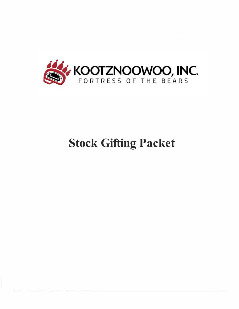

# **Stock Gifting Packet**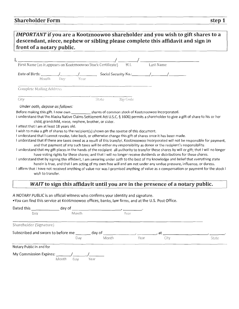*IMPORTANT* **if you are a Kootznoowoo shareholder and you wish to gift shares to a descendant, niece, nephew or sibling please complete this affidavit and sign in front of a notary public.** 

| n ont or a notary public.                                   |                                                                                                                 |                                                                                                                                              |
|-------------------------------------------------------------|-----------------------------------------------------------------------------------------------------------------|----------------------------------------------------------------------------------------------------------------------------------------------|
|                                                             |                                                                                                                 |                                                                                                                                              |
| First Name (as it appears on Kootznoowoo Stock Certificate) | M.I.                                                                                                            | Last Name                                                                                                                                    |
| Date of Birth:<br>Dav<br>Month                              | Social Security No.: \[100]<br>Year                                                                             |                                                                                                                                              |
| <b>Complete Mailing Address</b>                             |                                                                                                                 |                                                                                                                                              |
| City                                                        | Zip Code<br>State.                                                                                              |                                                                                                                                              |
| Under oath, depose as follows:                              |                                                                                                                 |                                                                                                                                              |
|                                                             | Before making this gift. I now own _____________ shares of common stock of Kootznoowoo Incorporated.            |                                                                                                                                              |
|                                                             |                                                                                                                 | I understand that the Alaska Native Claims Settlement Act U.S.C. § 1606) permits a shareholder to give a gift of share to his or her         |
| child, grandchild, niece, nephew, brother, or sister.       |                                                                                                                 |                                                                                                                                              |
| I attest that I am at least 18 years old.                   |                                                                                                                 |                                                                                                                                              |
|                                                             | I wish to make a gift of shares to the recipient(s) shown on the reverse of this document.                      |                                                                                                                                              |
|                                                             | I understand that I cannot revoke, take back, or otherwise change this gift of shares once it has been made.    |                                                                                                                                              |
|                                                             |                                                                                                                 | I understand that if there are taxes owed as a result of this transfer, Kootznoowoo Incorporated will not be responsible for payment,        |
|                                                             | and that payment of any such taxes will be either my responsibility as donor or the recipient's responsibility. |                                                                                                                                              |
|                                                             |                                                                                                                 | I understand that my gift places in the hands of the recipient all authority to transfer these shares by will or gift; that I will no longer |
|                                                             |                                                                                                                 | have voting rights for these shares; and that Lwill no longer receive dividends or distributions for these shares                            |

se shares; and that I will no longer receive dividend I understand that by signing this affidavit, I am swearing under oath to the best of my knowledge and belief that everything state herein is true, and that I am acting of my own free will and am not under any undue pressure, influence, or duress.

I affirm that I have not received anything of value nor was I promised anything of value as a compensation or payment for the stock I wish to transfer.

# *WAIT* **to sign this affidavit until you are in the presence of a notary public.**

A NOTARY PUBLIC is an official witness who confirms your identity and signature.

•You can find this service at Kootznoowoo offices, banks, law firms, and at the U.S. Post Office.

| Dated this               | day of                                           |       |                                     |                                                                                                                |       |
|--------------------------|--------------------------------------------------|-------|-------------------------------------|----------------------------------------------------------------------------------------------------------------|-------|
| Day                      | Month                                            |       | Year                                |                                                                                                                |       |
| Shareholder (Signature)  |                                                  |       |                                     |                                                                                                                |       |
|                          | Subscribed and sworn to before me _______ day of |       | and the contract of the contract of | , at the set of the set of the set of the set of the set of the set of the set of the set of the set of the se |       |
|                          | Day                                              | Month | Year                                | City                                                                                                           | State |
| Notary Public in and for |                                                  |       |                                     |                                                                                                                |       |
| My Commission Expires:   | Month<br>Dav                                     | Year  |                                     |                                                                                                                |       |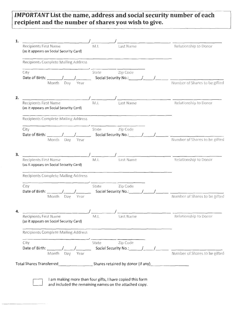# *IMPORTANT* **List the name, address and social security number of each recipient and the number of shares you wish to give.**

| <b>Recipients First Name</b><br>(as it appears on Social Security Card)                                                        | Last Name<br>N.l.             |                                                | Relationship to Donor         |
|--------------------------------------------------------------------------------------------------------------------------------|-------------------------------|------------------------------------------------|-------------------------------|
| Recipients Complete Mailing Address                                                                                            |                               |                                                |                               |
| City                                                                                                                           | Zip Code<br>State             |                                                |                               |
| Month Day Year                                                                                                                 |                               |                                                | Number of Shares to be gifted |
| 2.<br>Recipients First Name<br>(as it appears on Social Security Card)                                                         | M.I.<br>Last Name             | <u> 1980 - Jan Barbara, martin amerikan ba</u> | Relationship to Donor         |
| <b>Recipients Complete Mailing Address</b>                                                                                     |                               |                                                |                               |
| City<br>Date of Birth:                                                                                                         | Zip Code<br>State             |                                                |                               |
| Month Day Year                                                                                                                 |                               |                                                | Number of Shares to be gifted |
| 3.<br>Recipients First Name<br>(as it appears on Social Security Card)                                                         | M.I.<br>Last Name             |                                                | Relationship to Donor         |
| <b>Recipients Complete Mailing Address</b>                                                                                     |                               |                                                |                               |
| City<br>Date of Birth: $\frac{1}{\sqrt{2}}$<br>Month Day Year                                                                  | Zip Code<br>State             |                                                | Number of Shares to be gifted |
|                                                                                                                                |                               |                                                |                               |
|                                                                                                                                |                               |                                                |                               |
| <b>Recipients First Name</b><br>(as it appears on Social Security Card)                                                        | $\prime$<br>M.I.<br>Last Name |                                                | Relationship to Donor         |
| <b>Recipients Complete Mailing Address</b>                                                                                     |                               |                                                |                               |
| 4.<br>City<br>Date of Birth: $\frac{1}{\sqrt{1-\frac{1}{2}}}\left  \frac{1}{\sqrt{1-\frac{1}{2}}}\right $<br>Month Day<br>Year | Zip Code<br>State             |                                                | Number of Shares to be gifted |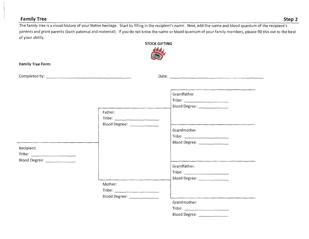#### Family Tree Step 2 and Step 2 and Step 2 and Step 2 and Step 2 and Step 2 and Step 2 and Step 2 and Step 2 and Step 2

The family tree is a visual history of your Native heritage. Start by filling in the recipient's name. Next, add the name and blood quantum of the recipient's parents and grant parents (both paternal and maternal). If you do not know the name or blood quantum of your family members, please fill this out to the best of your ability.

| or your upmy.                 |                                                                           | <b>STOCK GIFTING</b>                                                                                                                                                                                                                                                                                                                                                                                                                                                                        |
|-------------------------------|---------------------------------------------------------------------------|---------------------------------------------------------------------------------------------------------------------------------------------------------------------------------------------------------------------------------------------------------------------------------------------------------------------------------------------------------------------------------------------------------------------------------------------------------------------------------------------|
| <b>Family Tree Form:</b>      |                                                                           |                                                                                                                                                                                                                                                                                                                                                                                                                                                                                             |
|                               |                                                                           |                                                                                                                                                                                                                                                                                                                                                                                                                                                                                             |
| Recipient                     | Father:<br>Blood Degree: ______________                                   | Grandfather<br>Blood Degree: _______________<br>Grandmother<br>$\begin{picture}(25,10) \put(0,0){\dashbox{0.5}(5,0){ }} \put(15,0){\circle{10}} \put(15,0){\circle{10}} \put(15,0){\circle{10}} \put(15,0){\circle{10}} \put(15,0){\circle{10}} \put(15,0){\circle{10}} \put(15,0){\circle{10}} \put(15,0){\circle{10}} \put(15,0){\circle{10}} \put(15,0){\circle{10}} \put(15,0){\circle{10}} \put(15,0){\circle{10}} \put(15,0){\circle{10}} \put(15,0$<br>Blood Degree: _______________ |
| Blood Degree: _______________ | $\sim 100$                                                                | Grandfather:<br>Blood Degree: _________________                                                                                                                                                                                                                                                                                                                                                                                                                                             |
|                               | Mother:<br>Tribe: ________________________<br>Blood Degree: _____________ | Grandmother:                                                                                                                                                                                                                                                                                                                                                                                                                                                                                |
|                               |                                                                           |                                                                                                                                                                                                                                                                                                                                                                                                                                                                                             |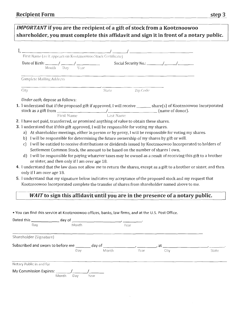| <b>IMPORTANT</b> if you are the recipient of a gift of stock from a Kootznoowoo<br>shareholder, you must complete this affidavit and sign it in front of a notary public.                                                                                                                                                                                                                                                                                                                                                                                                                                                                                                                                                                                                                                                                                                                                                                                                                                                                       |       |          |      |       |
|-------------------------------------------------------------------------------------------------------------------------------------------------------------------------------------------------------------------------------------------------------------------------------------------------------------------------------------------------------------------------------------------------------------------------------------------------------------------------------------------------------------------------------------------------------------------------------------------------------------------------------------------------------------------------------------------------------------------------------------------------------------------------------------------------------------------------------------------------------------------------------------------------------------------------------------------------------------------------------------------------------------------------------------------------|-------|----------|------|-------|
|                                                                                                                                                                                                                                                                                                                                                                                                                                                                                                                                                                                                                                                                                                                                                                                                                                                                                                                                                                                                                                                 |       |          |      |       |
| <b>Complete Mailing Address</b>                                                                                                                                                                                                                                                                                                                                                                                                                                                                                                                                                                                                                                                                                                                                                                                                                                                                                                                                                                                                                 |       |          |      |       |
| City                                                                                                                                                                                                                                                                                                                                                                                                                                                                                                                                                                                                                                                                                                                                                                                                                                                                                                                                                                                                                                            | State | Zip Code |      |       |
| Under oath, depose as follows:<br>1. I understand that if the proposed gift if approved, I will receive ______ share(s) of Kootznoowoo Incorporated<br>stock as a gift from First Name $\overline{F}$ First Name Last Name (name of donor).                                                                                                                                                                                                                                                                                                                                                                                                                                                                                                                                                                                                                                                                                                                                                                                                     |       |          |      |       |
| 3. I understand that if this gift approved, I will be responsible for voting my shares.<br>a) At shareholder meetings, either in person or by proxy, I will be responsible for voting my shares.<br>b) I will be responsible for determining the future ownership of my shares by gift or will.<br>I will be entitled to receive distributions or dividends issued by Kootznoowoo Incorporated to holders of<br>c)<br>Settlement Common Stock, the amount to be based on the number of shares I own.<br>I will be responsible for paying whatever taxes may be owned as a result of receiving this gift to a brother<br>d)<br>or sister, and then only if I am over age 18.<br>4. I understand that the law does not allow me to return the shares, except as a gift to a brother or sister, and then<br>only if I am over age 18.<br>5. I understand that my signature below indicates my acceptance of the proposed stock and my request that<br>Kootznoowoo Incorporated complete the transfer of shares from shareholder named above to me. |       |          |      |       |
| WAIT to sign this affidavit until you are in the presence of a notary public.                                                                                                                                                                                                                                                                                                                                                                                                                                                                                                                                                                                                                                                                                                                                                                                                                                                                                                                                                                   |       |          |      |       |
| . You can find this service at Kootznoowoo offices, banks, law firms, and at the U.S. Post Office.                                                                                                                                                                                                                                                                                                                                                                                                                                                                                                                                                                                                                                                                                                                                                                                                                                                                                                                                              |       |          |      |       |
| Month<br>Dav                                                                                                                                                                                                                                                                                                                                                                                                                                                                                                                                                                                                                                                                                                                                                                                                                                                                                                                                                                                                                                    |       | Year     |      |       |
| Shareholder (Signature)                                                                                                                                                                                                                                                                                                                                                                                                                                                                                                                                                                                                                                                                                                                                                                                                                                                                                                                                                                                                                         |       |          |      |       |
| Subscribed and sworn to before me $\frac{1}{\text{Day}}$ day of $\frac{1}{\text{Month}}$ , $\frac{1}{\text{Year}}$<br>Day                                                                                                                                                                                                                                                                                                                                                                                                                                                                                                                                                                                                                                                                                                                                                                                                                                                                                                                       | Month |          | City | State |
| Notary Public in and for                                                                                                                                                                                                                                                                                                                                                                                                                                                                                                                                                                                                                                                                                                                                                                                                                                                                                                                                                                                                                        |       |          |      |       |
| Month<br>Day                                                                                                                                                                                                                                                                                                                                                                                                                                                                                                                                                                                                                                                                                                                                                                                                                                                                                                                                                                                                                                    | Year  |          |      |       |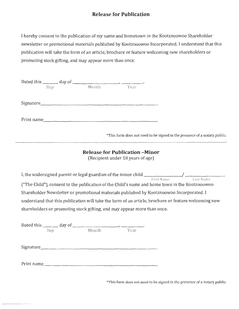# **Release for Publication**

I hereby consent to the publication of my name and hometown in the Kootznoowoo Shareholder newsletter or promotional materials published by Kootznoowoo Incorporated. I understand that this publication will take the form of an article, brochure or feature welcoming new shareholders or promoting stock gifting, and may appear more than once.

|     | Dated this $\_\_\_\_$ day of $\_\_\_\_\_\_\_\_$ |       |                                                                           |
|-----|-------------------------------------------------|-------|---------------------------------------------------------------------------|
| Day | Month                                           | Year. |                                                                           |
|     |                                                 |       |                                                                           |
|     | $Sigma =$                                       |       |                                                                           |
|     |                                                 |       |                                                                           |
|     | Print name                                      |       |                                                                           |
|     |                                                 |       |                                                                           |
|     |                                                 |       | *This form does not need to be signed in the presence of a notary public. |
|     |                                                 |       |                                                                           |

### **Release for Publication -Minor**

(Recipient under 18 years of age)

I, the undersigned parent or legal guardian of the minor child \_\_\_\_\_\_\_\_ / \_\_\_\_\_\_\_ \_ First Name Last Name ("The Child"), consent to the publication of the Child's name and home town in the Kootznoowoo Shareholder Newsletter or promotional materials published by Kootznoowoo Incorporated. I understand that this publication will take the form of an article, brochure or feature welcoming new shareholders or promoting stock gifting, and may appear more than once.

| Day | Month      | Year |  |
|-----|------------|------|--|
|     |            |      |  |
|     | Print name |      |  |

\*This form does not need to be signed in the presence of a notary public.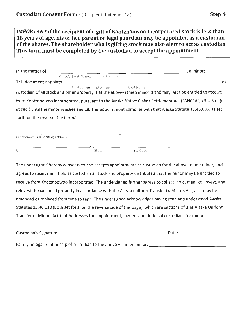| IMPORTANT if the recipient of a gift of Kootznoowoo Incorporated stock is less than     |
|-----------------------------------------------------------------------------------------|
| 18 years of age, his or her parent or legal guardian may be appointed as a custodian    |
| of the shares. The shareholder who is gifting stock may also elect to act as custodian. |
| This form must be completed by the custodian to accept the appointment.                 |

| In the matter of                  |           | a minor:                                                                                                      |
|-----------------------------------|-----------|---------------------------------------------------------------------------------------------------------------|
| Minor's First Name.               | Last Name |                                                                                                               |
| This document appoints            |           | as                                                                                                            |
| Custodians First Name,            |           | Last Name                                                                                                     |
|                                   |           | custodian of all stock and other property that the above-named minor is and may later be entitled to receive  |
|                                   |           | from Kootznoowoo Incorporated, pursuant to the Alaska Native Claims Settlement Act ("ANCSA", 43 U.S.C. §      |
|                                   |           | et seq.) until the minor reaches age 18. This appointment complies with that Alaska Statute 13.46.085, as set |
| forth on the reverse side hereof. |           |                                                                                                               |

| Custodian's Full Mailing Address |  |  |  |
|----------------------------------|--|--|--|
|                                  |  |  |  |

City State Zip Code

The undersigned hereby consents to and accepts appointments as custodian for the above -name minor, and agrees to receive and hold as custodian all stock and property distributed that the minor may be entitled to receive from Kootznoowoo Incorporated. The undersigned further agrees to collect, hold, manage, invest, and reinvest the custodial property in accordance with the Alaska uniform Transfer to Minors Act, as it may be amended or replaced from time to time. The undersigned acknowledges having read and understood Alaska Statutes 13.46.110 (both set forth on the reverse side of this page), which are sections of that Alaska Uniform Transfer of Minors Act that Addresses the appointment, powers and duties of custodians for minors.

| Custodian's Signature: | Date: |
|------------------------|-------|
|                        |       |

Family or legal relationship of custodian to the above - named minor: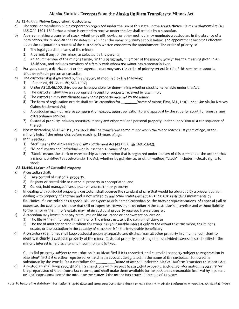#### **Alaska Statutes Excerpts from the Alaska Uniform Transfers to Minors Act**

#### **AS 13.46.085. Native Corporation; Custodians;**

- a) The stock or membership in a corporation organized under the law of this state un the Alaska Native Claims Settlement Act (43 U.S.C.§§ 1601-1642) that a minor is entitled to receive under the Act shall be held by a custodian.
- b) A person making a transfer of stock, whether by gift, devise, or other method, may nominate a custodian. In the absence of a nomination, the custodian shall be determined under the order of priority set out below. The appointment becomes effective upon the corporation's receipt of the custodian's written consent to the appointment. The order of priority is:
	- 1) The legal guardian, if any, of the minor;
	- 2) A parent, if any, of the minor, as selected by the parents;
	- 3) An adult member of the minor's family, "in this paragraph, "member of the minor's family" has the meaning given in AS 13.46.990, and includes members of a family with whom the minor has customarily lived.
- c) For good cause, a district court or the superior court may vary the order of priority set out in (b) of this section or appoint another suitable person as custodian.
- d) The custodianship if governed by this chapter, as modified by the following:
	- 1) [ Repealed, §§ 12, ch. 60, SLA 1992]
	- 2) Under AS 13.46.150, third person is responsible for determining whether stock is inalienable under the Act:
	- 3) The custodian shall give an appropriate receipt for property received by the minor;
	- 4) The custodian may not alienate inalienable property received by the minor;
	- 5) The form of registration or title shall be "as custodian for (name of minor; First, M.I., Last) under the Alaska Natives Claims Settlement Act;
	- 6) A custodian may not receive compensation except, upon application to and approval by the superior court, for unusual and extraordinary services;
	- 7) Custodial property includes securities, money and other real and personal property under supervision as a consequence of the act.
- e) Not withstanding AS 13.46.190, the stock shall be transferred to the minor when the minor reaches 18 years of age, or the minor's heirs if the minor dies before reaching 18 years of age.
- f) In this section.
	- 1) "Act" means the Alaska Native Claims Settlement Act (43 U.S.C. §§ 1601-1642);
	- 2) "Minor" means and individual who is less than 18 years of age.
	- 3) "Stock" means the stock or membership in a corporation that is organized under the law of this state under the act and that a minor is entitled to receive under the Act, whether by gift, devise, or other method; "stock" includes inchoate rights to stock.

#### **AS 13.446.11.Care of Custodial Property**

- a) A custodian shall;
	- 1) Take control of custodial property.
	- 2) Register or record title to custodial property in appropriated; and
	- 3) Collect, hold manage, invest, and reinvest custodian property
- b) In dealing with custodial property a custodian shall observe the standard of care that would be observed by a prudent person dealing with property of another and is not limited by any other statute except AS 13.90.020 restricting investments by fiduciaries. If a custodian has a special skill or expertise or is named custodian on the basis or representations of s special skill or expertise, the custodian shall use that skill or expertise. However, a custodian in the custodian's discretion and without liability to the minor or the minor's estate may retain custodial property received from a transfer.
- c) A custodian may invest in or pay premiums on life insurance or endowment policies on:
	- 1) The life or the minor only if the minor or the minors estate is the sole beneficiary; or
	- 2) The life of another person in whom the minor has an insurable interest only to the extent that the minor, the minor's estate, or the custodian in the capacity of custodian is in the irrevocable beneficiary:
- d) A custodian at all times shall keep custodial property separate and distinct from all other property in a manner sufficient to identity it clearly is custodial property of the minor. Custodial property consisting of an undivided interest is so identified if the minor's interest is held as a tenant in common and is fixed.

Custodial property subject to recordation is so identified if it is recorded, and custodial property subject to registration is also identified if it is either registered, or held in an account designated, in the name of the custodian, followed in substance by the words: "as a custodian for \_\_\_\_\_\_\_\_\_(name of minor) under the Alaska Uniform Transfers to Minors Act.

e) A custodian shall keep records of all transactions with respect to custodial property, including information necessary for the preparation of the minor's tax returns, and shall make them available for inspection at reasonable interval by a parent or legal representative of the minor or the minor if the minor has attained the age of 14 years.

Note: to be sure the statutory information is up-to-date and complete; custodians should consult the entire Alaska Uniform to Minors Act. AS 13.46.010.999